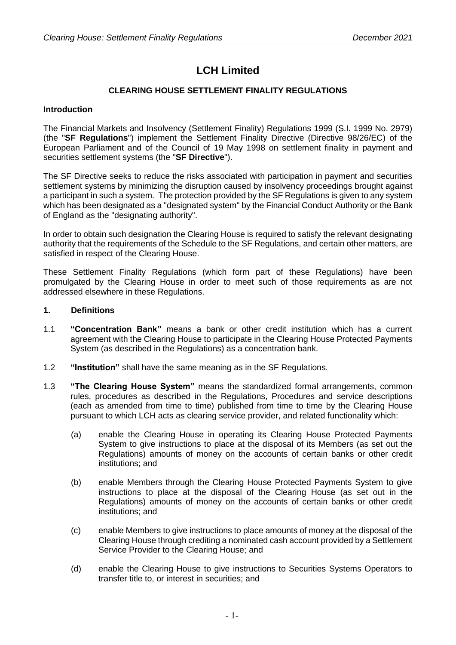# **LCH Limited**

# **CLEARING HOUSE SETTLEMENT FINALITY REGULATIONS**

# **Introduction**

The Financial Markets and Insolvency (Settlement Finality) Regulations 1999 (S.I. 1999 No. 2979) (the "**SF Regulations**") implement the Settlement Finality Directive (Directive 98/26/EC) of the European Parliament and of the Council of 19 May 1998 on settlement finality in payment and securities settlement systems (the "**SF Directive**").

The SF Directive seeks to reduce the risks associated with participation in payment and securities settlement systems by minimizing the disruption caused by insolvency proceedings brought against a participant in such a system. The protection provided by the SF Regulations is given to any system which has been designated as a "designated system" by the Financial Conduct Authority or the Bank of England as the "designating authority".

In order to obtain such designation the Clearing House is required to satisfy the relevant designating authority that the requirements of the Schedule to the SF Regulations, and certain other matters, are satisfied in respect of the Clearing House.

These Settlement Finality Regulations (which form part of these Regulations) have been promulgated by the Clearing House in order to meet such of those requirements as are not addressed elsewhere in these Regulations.

# **1. Definitions**

- 1.1 **"Concentration Bank"** means a bank or other credit institution which has a current agreement with the Clearing House to participate in the Clearing House Protected Payments System (as described in the Regulations) as a concentration bank.
- 1.2 **"Institution"** shall have the same meaning as in the SF Regulations.
- 1.3 **"The Clearing House System"** means the standardized formal arrangements, common rules, procedures as described in the Regulations, Procedures and service descriptions (each as amended from time to time) published from time to time by the Clearing House pursuant to which LCH acts as clearing service provider, and related functionality which:
	- (a) enable the Clearing House in operating its Clearing House Protected Payments System to give instructions to place at the disposal of its Members (as set out the Regulations) amounts of money on the accounts of certain banks or other credit institutions; and
	- (b) enable Members through the Clearing House Protected Payments System to give instructions to place at the disposal of the Clearing House (as set out in the Regulations) amounts of money on the accounts of certain banks or other credit institutions; and
	- (c) enable Members to give instructions to place amounts of money at the disposal of the Clearing House through crediting a nominated cash account provided by a Settlement Service Provider to the Clearing House; and
	- (d) enable the Clearing House to give instructions to Securities Systems Operators to transfer title to, or interest in securities; and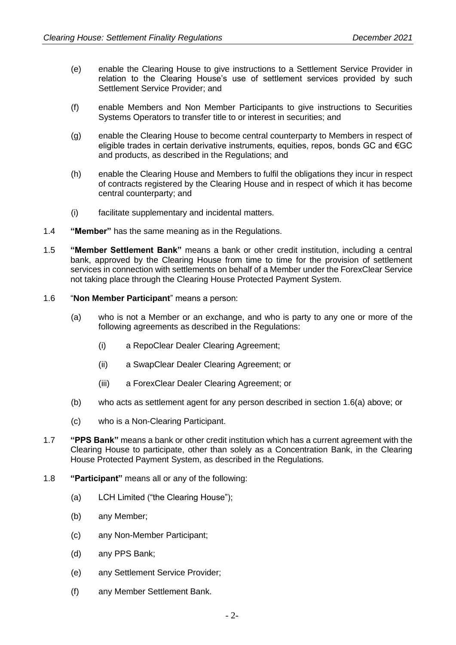- (e) enable the Clearing House to give instructions to a Settlement Service Provider in relation to the Clearing House's use of settlement services provided by such Settlement Service Provider; and
- (f) enable Members and Non Member Participants to give instructions to Securities Systems Operators to transfer title to or interest in securities; and
- (g) enable the Clearing House to become central counterparty to Members in respect of eligible trades in certain derivative instruments, equities, repos, bonds GC and €GC and products, as described in the Regulations; and
- (h) enable the Clearing House and Members to fulfil the obligations they incur in respect of contracts registered by the Clearing House and in respect of which it has become central counterparty; and
- (i) facilitate supplementary and incidental matters.
- 1.4 **"Member"** has the same meaning as in the Regulations.
- 1.5 **"Member Settlement Bank"** means a bank or other credit institution, including a central bank, approved by the Clearing House from time to time for the provision of settlement services in connection with settlements on behalf of a Member under the ForexClear Service not taking place through the Clearing House Protected Payment System.
- 1.6 "**Non Member Participant**" means a person:
	- (a) who is not a Member or an exchange, and who is party to any one or more of the following agreements as described in the Regulations:
		- (i) a RepoClear Dealer Clearing Agreement;
		- (ii) a SwapClear Dealer Clearing Agreement; or
		- (iii) a ForexClear Dealer Clearing Agreement; or
	- (b) who acts as settlement agent for any person described in section 1.6(a) above; or
	- (c) who is a Non-Clearing Participant.
- 1.7 **"PPS Bank"** means a bank or other credit institution which has a current agreement with the Clearing House to participate, other than solely as a Concentration Bank, in the Clearing House Protected Payment System, as described in the Regulations.
- 1.8 **"Participant"** means all or any of the following:
	- (a) LCH Limited ("the Clearing House");
	- (b) any Member;
	- (c) any Non-Member Participant;
	- (d) any PPS Bank;
	- (e) any Settlement Service Provider;
	- (f) any Member Settlement Bank.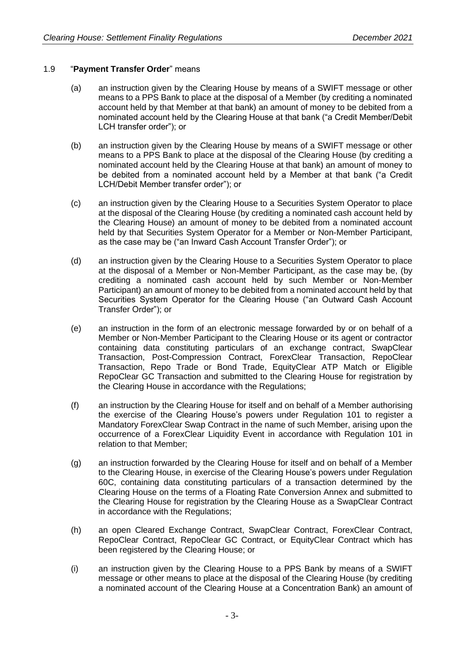# 1.9 "**Payment Transfer Order**" means

- (a) an instruction given by the Clearing House by means of a SWIFT message or other means to a PPS Bank to place at the disposal of a Member (by crediting a nominated account held by that Member at that bank) an amount of money to be debited from a nominated account held by the Clearing House at that bank ("a Credit Member/Debit LCH transfer order"); or
- (b) an instruction given by the Clearing House by means of a SWIFT message or other means to a PPS Bank to place at the disposal of the Clearing House (by crediting a nominated account held by the Clearing House at that bank) an amount of money to be debited from a nominated account held by a Member at that bank ("a Credit LCH/Debit Member transfer order"); or
- (c) an instruction given by the Clearing House to a Securities System Operator to place at the disposal of the Clearing House (by crediting a nominated cash account held by the Clearing House) an amount of money to be debited from a nominated account held by that Securities System Operator for a Member or Non-Member Participant, as the case may be ("an Inward Cash Account Transfer Order"); or
- (d) an instruction given by the Clearing House to a Securities System Operator to place at the disposal of a Member or Non-Member Participant, as the case may be, (by crediting a nominated cash account held by such Member or Non-Member Participant) an amount of money to be debited from a nominated account held by that Securities System Operator for the Clearing House ("an Outward Cash Account Transfer Order"); or
- (e) an instruction in the form of an electronic message forwarded by or on behalf of a Member or Non-Member Participant to the Clearing House or its agent or contractor containing data constituting particulars of an exchange contract, SwapClear Transaction, Post-Compression Contract, ForexClear Transaction, RepoClear Transaction, Repo Trade or Bond Trade, EquityClear ATP Match or Eligible RepoClear GC Transaction and submitted to the Clearing House for registration by the Clearing House in accordance with the Regulations;
- (f) an instruction by the Clearing House for itself and on behalf of a Member authorising the exercise of the Clearing House's powers under Regulation 101 to register a Mandatory ForexClear Swap Contract in the name of such Member, arising upon the occurrence of a ForexClear Liquidity Event in accordance with Regulation 101 in relation to that Member;
- (g) an instruction forwarded by the Clearing House for itself and on behalf of a Member to the Clearing House, in exercise of the Clearing House's powers under Regulation 60C, containing data constituting particulars of a transaction determined by the Clearing House on the terms of a Floating Rate Conversion Annex and submitted to the Clearing House for registration by the Clearing House as a SwapClear Contract in accordance with the Regulations;
- (h) an open Cleared Exchange Contract, SwapClear Contract, ForexClear Contract, RepoClear Contract, RepoClear GC Contract, or EquityClear Contract which has been registered by the Clearing House; or
- (i) an instruction given by the Clearing House to a PPS Bank by means of a SWIFT message or other means to place at the disposal of the Clearing House (by crediting a nominated account of the Clearing House at a Concentration Bank) an amount of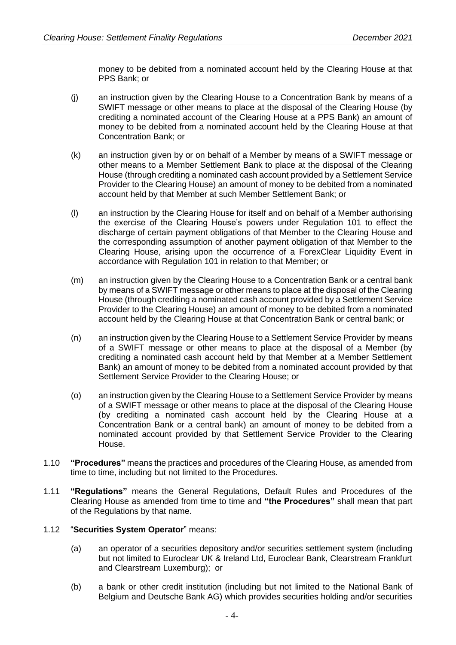money to be debited from a nominated account held by the Clearing House at that PPS Bank; or

- (j) an instruction given by the Clearing House to a Concentration Bank by means of a SWIFT message or other means to place at the disposal of the Clearing House (by crediting a nominated account of the Clearing House at a PPS Bank) an amount of money to be debited from a nominated account held by the Clearing House at that Concentration Bank; or
- (k) an instruction given by or on behalf of a Member by means of a SWIFT message or other means to a Member Settlement Bank to place at the disposal of the Clearing House (through crediting a nominated cash account provided by a Settlement Service Provider to the Clearing House) an amount of money to be debited from a nominated account held by that Member at such Member Settlement Bank; or
- (l) an instruction by the Clearing House for itself and on behalf of a Member authorising the exercise of the Clearing House's powers under Regulation 101 to effect the discharge of certain payment obligations of that Member to the Clearing House and the corresponding assumption of another payment obligation of that Member to the Clearing House, arising upon the occurrence of a ForexClear Liquidity Event in accordance with Regulation 101 in relation to that Member; or
- (m) an instruction given by the Clearing House to a Concentration Bank or a central bank by means of a SWIFT message or other means to place at the disposal of the Clearing House (through crediting a nominated cash account provided by a Settlement Service Provider to the Clearing House) an amount of money to be debited from a nominated account held by the Clearing House at that Concentration Bank or central bank; or
- (n) an instruction given by the Clearing House to a Settlement Service Provider by means of a SWIFT message or other means to place at the disposal of a Member (by crediting a nominated cash account held by that Member at a Member Settlement Bank) an amount of money to be debited from a nominated account provided by that Settlement Service Provider to the Clearing House; or
- (o) an instruction given by the Clearing House to a Settlement Service Provider by means of a SWIFT message or other means to place at the disposal of the Clearing House (by crediting a nominated cash account held by the Clearing House at a Concentration Bank or a central bank) an amount of money to be debited from a nominated account provided by that Settlement Service Provider to the Clearing House.
- 1.10 **"Procedures"** means the practices and procedures of the Clearing House, as amended from time to time, including but not limited to the Procedures.
- 1.11 **"Regulations"** means the General Regulations, Default Rules and Procedures of the Clearing House as amended from time to time and **"the Procedures"** shall mean that part of the Regulations by that name.

# 1.12 "**Securities System Operator**" means:

- (a) an operator of a securities depository and/or securities settlement system (including but not limited to Euroclear UK & Ireland Ltd, Euroclear Bank, Clearstream Frankfurt and Clearstream Luxemburg); or
- (b) a bank or other credit institution (including but not limited to the National Bank of Belgium and Deutsche Bank AG) which provides securities holding and/or securities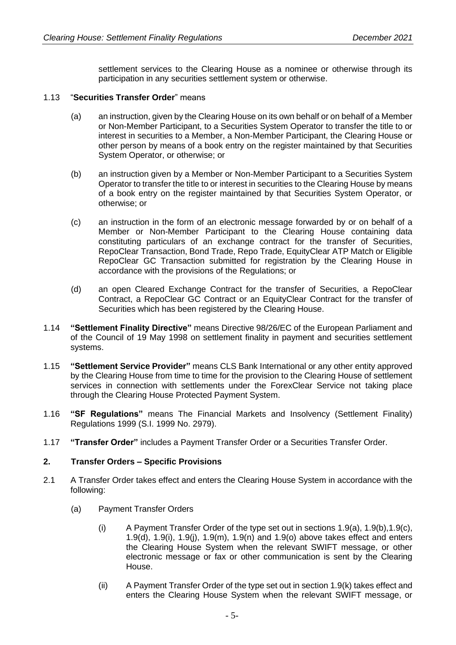settlement services to the Clearing House as a nominee or otherwise through its participation in any securities settlement system or otherwise.

#### 1.13 "**Securities Transfer Order**" means

- (a) an instruction, given by the Clearing House on its own behalf or on behalf of a Member or Non-Member Participant, to a Securities System Operator to transfer the title to or interest in securities to a Member, a Non-Member Participant, the Clearing House or other person by means of a book entry on the register maintained by that Securities System Operator, or otherwise; or
- (b) an instruction given by a Member or Non-Member Participant to a Securities System Operator to transfer the title to or interest in securities to the Clearing House by means of a book entry on the register maintained by that Securities System Operator, or otherwise; or
- (c) an instruction in the form of an electronic message forwarded by or on behalf of a Member or Non-Member Participant to the Clearing House containing data constituting particulars of an exchange contract for the transfer of Securities, RepoClear Transaction, Bond Trade, Repo Trade, EquityClear ATP Match or Eligible RepoClear GC Transaction submitted for registration by the Clearing House in accordance with the provisions of the Regulations; or
- (d) an open Cleared Exchange Contract for the transfer of Securities, a RepoClear Contract, a RepoClear GC Contract or an EquityClear Contract for the transfer of Securities which has been registered by the Clearing House.
- 1.14 **"Settlement Finality Directive"** means Directive 98/26/EC of the European Parliament and of the Council of 19 May 1998 on settlement finality in payment and securities settlement systems.
- 1.15 **"Settlement Service Provider"** means CLS Bank International or any other entity approved by the Clearing House from time to time for the provision to the Clearing House of settlement services in connection with settlements under the ForexClear Service not taking place through the Clearing House Protected Payment System.
- 1.16 **"SF Regulations"** means The Financial Markets and Insolvency (Settlement Finality) Regulations 1999 (S.I. 1999 No. 2979).
- 1.17 **"Transfer Order"** includes a Payment Transfer Order or a Securities Transfer Order.

# **2. Transfer Orders – Specific Provisions**

- 2.1 A Transfer Order takes effect and enters the Clearing House System in accordance with the following:
	- (a) Payment Transfer Orders
		- (i) A Payment Transfer Order of the type set out in sections 1.9(a), 1.9(b),1.9(c), 1.9(d), 1.9(i), 1.9(j), 1.9(m), 1.9(n) and 1.9(o) above takes effect and enters the Clearing House System when the relevant SWIFT message, or other electronic message or fax or other communication is sent by the Clearing House.
		- (ii) A Payment Transfer Order of the type set out in section 1.9(k) takes effect and enters the Clearing House System when the relevant SWIFT message, or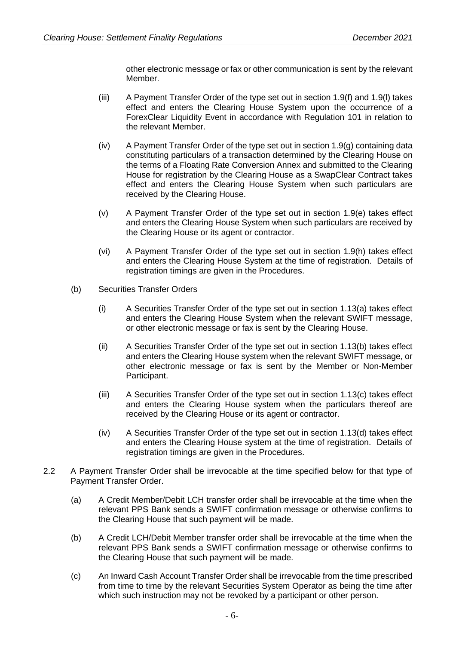other electronic message or fax or other communication is sent by the relevant Member.

- (iii) A Payment Transfer Order of the type set out in section 1.9(f) and 1.9(l) takes effect and enters the Clearing House System upon the occurrence of a ForexClear Liquidity Event in accordance with Regulation 101 in relation to the relevant Member.
- (iv) A Payment Transfer Order of the type set out in section 1.9(g) containing data constituting particulars of a transaction determined by the Clearing House on the terms of a Floating Rate Conversion Annex and submitted to the Clearing House for registration by the Clearing House as a SwapClear Contract takes effect and enters the Clearing House System when such particulars are received by the Clearing House.
- (v) A Payment Transfer Order of the type set out in section 1.9(e) takes effect and enters the Clearing House System when such particulars are received by the Clearing House or its agent or contractor.
- (vi) A Payment Transfer Order of the type set out in section 1.9(h) takes effect and enters the Clearing House System at the time of registration. Details of registration timings are given in the Procedures.
- (b) Securities Transfer Orders
	- (i) A Securities Transfer Order of the type set out in section 1.13(a) takes effect and enters the Clearing House System when the relevant SWIFT message, or other electronic message or fax is sent by the Clearing House.
	- (ii) A Securities Transfer Order of the type set out in section 1.13(b) takes effect and enters the Clearing House system when the relevant SWIFT message, or other electronic message or fax is sent by the Member or Non-Member Participant.
	- (iii) A Securities Transfer Order of the type set out in section 1.13(c) takes effect and enters the Clearing House system when the particulars thereof are received by the Clearing House or its agent or contractor.
	- (iv) A Securities Transfer Order of the type set out in section 1.13(d) takes effect and enters the Clearing House system at the time of registration. Details of registration timings are given in the Procedures.
- 2.2 A Payment Transfer Order shall be irrevocable at the time specified below for that type of Payment Transfer Order.
	- (a) A Credit Member/Debit LCH transfer order shall be irrevocable at the time when the relevant PPS Bank sends a SWIFT confirmation message or otherwise confirms to the Clearing House that such payment will be made.
	- (b) A Credit LCH/Debit Member transfer order shall be irrevocable at the time when the relevant PPS Bank sends a SWIFT confirmation message or otherwise confirms to the Clearing House that such payment will be made.
	- (c) An Inward Cash Account Transfer Order shall be irrevocable from the time prescribed from time to time by the relevant Securities System Operator as being the time after which such instruction may not be revoked by a participant or other person.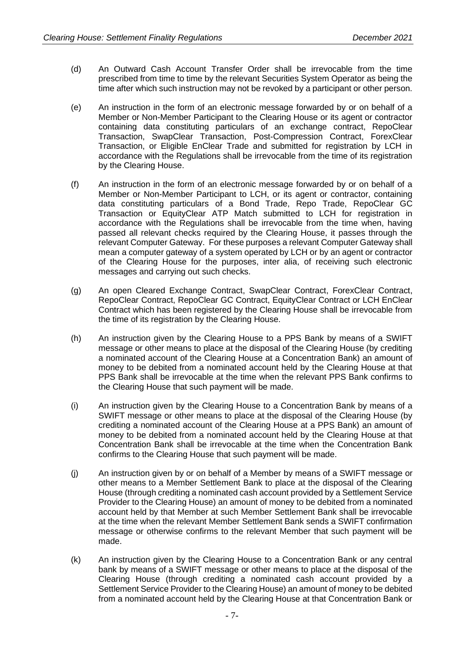- (d) An Outward Cash Account Transfer Order shall be irrevocable from the time prescribed from time to time by the relevant Securities System Operator as being the time after which such instruction may not be revoked by a participant or other person.
- (e) An instruction in the form of an electronic message forwarded by or on behalf of a Member or Non-Member Participant to the Clearing House or its agent or contractor containing data constituting particulars of an exchange contract, RepoClear Transaction, SwapClear Transaction, Post-Compression Contract, ForexClear Transaction, or Eligible EnClear Trade and submitted for registration by LCH in accordance with the Regulations shall be irrevocable from the time of its registration by the Clearing House.
- (f) An instruction in the form of an electronic message forwarded by or on behalf of a Member or Non-Member Participant to LCH, or its agent or contractor, containing data constituting particulars of a Bond Trade, Repo Trade, RepoClear GC Transaction or EquityClear ATP Match submitted to LCH for registration in accordance with the Regulations shall be irrevocable from the time when, having passed all relevant checks required by the Clearing House, it passes through the relevant Computer Gateway. For these purposes a relevant Computer Gateway shall mean a computer gateway of a system operated by LCH or by an agent or contractor of the Clearing House for the purposes, inter alia, of receiving such electronic messages and carrying out such checks.
- (g) An open Cleared Exchange Contract, SwapClear Contract, ForexClear Contract, RepoClear Contract, RepoClear GC Contract, EquityClear Contract or LCH EnClear Contract which has been registered by the Clearing House shall be irrevocable from the time of its registration by the Clearing House.
- (h) An instruction given by the Clearing House to a PPS Bank by means of a SWIFT message or other means to place at the disposal of the Clearing House (by crediting a nominated account of the Clearing House at a Concentration Bank) an amount of money to be debited from a nominated account held by the Clearing House at that PPS Bank shall be irrevocable at the time when the relevant PPS Bank confirms to the Clearing House that such payment will be made.
- (i) An instruction given by the Clearing House to a Concentration Bank by means of a SWIFT message or other means to place at the disposal of the Clearing House (by crediting a nominated account of the Clearing House at a PPS Bank) an amount of money to be debited from a nominated account held by the Clearing House at that Concentration Bank shall be irrevocable at the time when the Concentration Bank confirms to the Clearing House that such payment will be made.
- (j) An instruction given by or on behalf of a Member by means of a SWIFT message or other means to a Member Settlement Bank to place at the disposal of the Clearing House (through crediting a nominated cash account provided by a Settlement Service Provider to the Clearing House) an amount of money to be debited from a nominated account held by that Member at such Member Settlement Bank shall be irrevocable at the time when the relevant Member Settlement Bank sends a SWIFT confirmation message or otherwise confirms to the relevant Member that such payment will be made.
- (k) An instruction given by the Clearing House to a Concentration Bank or any central bank by means of a SWIFT message or other means to place at the disposal of the Clearing House (through crediting a nominated cash account provided by a Settlement Service Provider to the Clearing House) an amount of money to be debited from a nominated account held by the Clearing House at that Concentration Bank or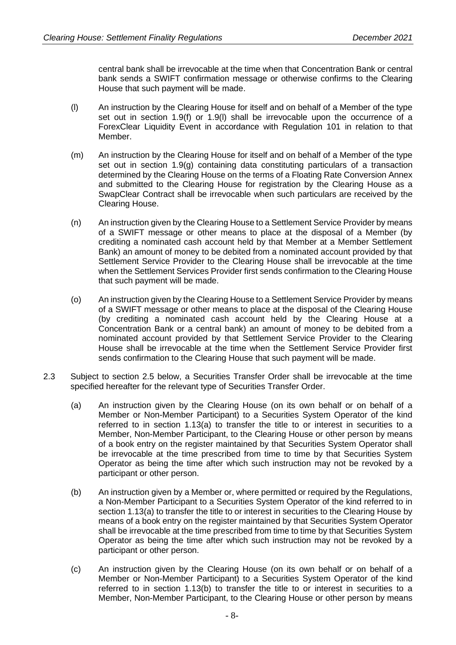central bank shall be irrevocable at the time when that Concentration Bank or central bank sends a SWIFT confirmation message or otherwise confirms to the Clearing House that such payment will be made.

- (l) An instruction by the Clearing House for itself and on behalf of a Member of the type set out in section 1.9(f) or 1.9(l) shall be irrevocable upon the occurrence of a ForexClear Liquidity Event in accordance with Regulation 101 in relation to that Member.
- (m) An instruction by the Clearing House for itself and on behalf of a Member of the type set out in section 1.9(g) containing data constituting particulars of a transaction determined by the Clearing House on the terms of a Floating Rate Conversion Annex and submitted to the Clearing House for registration by the Clearing House as a SwapClear Contract shall be irrevocable when such particulars are received by the Clearing House.
- (n) An instruction given by the Clearing House to a Settlement Service Provider by means of a SWIFT message or other means to place at the disposal of a Member (by crediting a nominated cash account held by that Member at a Member Settlement Bank) an amount of money to be debited from a nominated account provided by that Settlement Service Provider to the Clearing House shall be irrevocable at the time when the Settlement Services Provider first sends confirmation to the Clearing House that such payment will be made.
- (o) An instruction given by the Clearing House to a Settlement Service Provider by means of a SWIFT message or other means to place at the disposal of the Clearing House (by crediting a nominated cash account held by the Clearing House at a Concentration Bank or a central bank) an amount of money to be debited from a nominated account provided by that Settlement Service Provider to the Clearing House shall be irrevocable at the time when the Settlement Service Provider first sends confirmation to the Clearing House that such payment will be made.
- 2.3 Subject to section 2.5 below, a Securities Transfer Order shall be irrevocable at the time specified hereafter for the relevant type of Securities Transfer Order.
	- (a) An instruction given by the Clearing House (on its own behalf or on behalf of a Member or Non-Member Participant) to a Securities System Operator of the kind referred to in section 1.13(a) to transfer the title to or interest in securities to a Member, Non-Member Participant, to the Clearing House or other person by means of a book entry on the register maintained by that Securities System Operator shall be irrevocable at the time prescribed from time to time by that Securities System Operator as being the time after which such instruction may not be revoked by a participant or other person.
	- (b) An instruction given by a Member or, where permitted or required by the Regulations, a Non-Member Participant to a Securities System Operator of the kind referred to in section 1.13(a) to transfer the title to or interest in securities to the Clearing House by means of a book entry on the register maintained by that Securities System Operator shall be irrevocable at the time prescribed from time to time by that Securities System Operator as being the time after which such instruction may not be revoked by a participant or other person.
	- (c) An instruction given by the Clearing House (on its own behalf or on behalf of a Member or Non-Member Participant) to a Securities System Operator of the kind referred to in section 1.13(b) to transfer the title to or interest in securities to a Member, Non-Member Participant, to the Clearing House or other person by means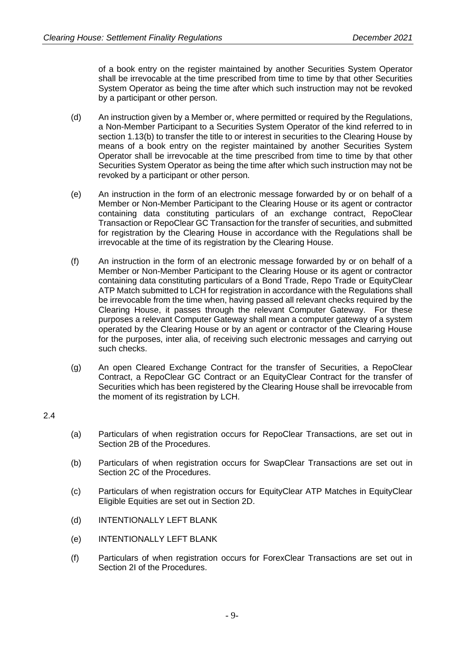of a book entry on the register maintained by another Securities System Operator shall be irrevocable at the time prescribed from time to time by that other Securities System Operator as being the time after which such instruction may not be revoked by a participant or other person.

- (d) An instruction given by a Member or, where permitted or required by the Regulations, a Non-Member Participant to a Securities System Operator of the kind referred to in section 1.13(b) to transfer the title to or interest in securities to the Clearing House by means of a book entry on the register maintained by another Securities System Operator shall be irrevocable at the time prescribed from time to time by that other Securities System Operator as being the time after which such instruction may not be revoked by a participant or other person.
- (e) An instruction in the form of an electronic message forwarded by or on behalf of a Member or Non-Member Participant to the Clearing House or its agent or contractor containing data constituting particulars of an exchange contract, RepoClear Transaction or RepoClear GC Transaction for the transfer of securities, and submitted for registration by the Clearing House in accordance with the Regulations shall be irrevocable at the time of its registration by the Clearing House.
- (f) An instruction in the form of an electronic message forwarded by or on behalf of a Member or Non-Member Participant to the Clearing House or its agent or contractor containing data constituting particulars of a Bond Trade, Repo Trade or EquityClear ATP Match submitted to LCH for registration in accordance with the Regulations shall be irrevocable from the time when, having passed all relevant checks required by the Clearing House, it passes through the relevant Computer Gateway. For these purposes a relevant Computer Gateway shall mean a computer gateway of a system operated by the Clearing House or by an agent or contractor of the Clearing House for the purposes, inter alia, of receiving such electronic messages and carrying out such checks.
- (g) An open Cleared Exchange Contract for the transfer of Securities, a RepoClear Contract, a RepoClear GC Contract or an EquityClear Contract for the transfer of Securities which has been registered by the Clearing House shall be irrevocable from the moment of its registration by LCH.

2.4

- (a) Particulars of when registration occurs for RepoClear Transactions, are set out in Section 2B of the Procedures.
- (b) Particulars of when registration occurs for SwapClear Transactions are set out in Section 2C of the Procedures.
- (c) Particulars of when registration occurs for EquityClear ATP Matches in EquityClear Eligible Equities are set out in Section 2D.
- (d) INTENTIONALLY LEFT BLANK
- (e) INTENTIONALLY LEFT BLANK
- (f) Particulars of when registration occurs for ForexClear Transactions are set out in Section 2L of the Procedures.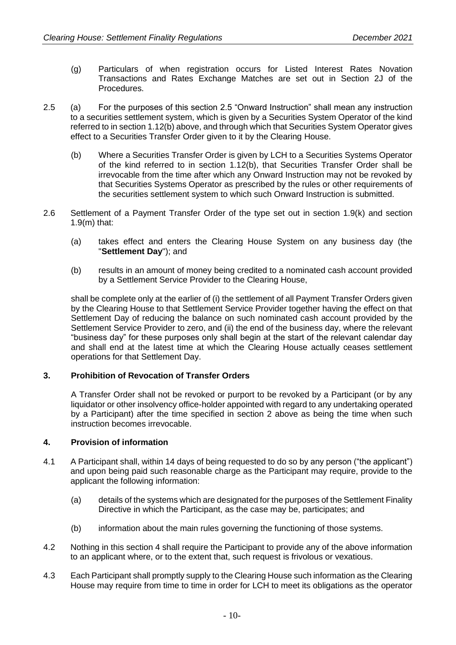- (g) Particulars of when registration occurs for Listed Interest Rates Novation Transactions and Rates Exchange Matches are set out in Section 2J of the Procedures.
- 2.5 (a) For the purposes of this section 2.5 "Onward Instruction" shall mean any instruction to a securities settlement system, which is given by a Securities System Operator of the kind referred to in section 1.12(b) above, and through which that Securities System Operator gives effect to a Securities Transfer Order given to it by the Clearing House.
	- (b) Where a Securities Transfer Order is given by LCH to a Securities Systems Operator of the kind referred to in section 1.12(b), that Securities Transfer Order shall be irrevocable from the time after which any Onward Instruction may not be revoked by that Securities Systems Operator as prescribed by the rules or other requirements of the securities settlement system to which such Onward Instruction is submitted.
- 2.6 Settlement of a Payment Transfer Order of the type set out in section 1.9(k) and section 1.9(m) that:
	- (a) takes effect and enters the Clearing House System on any business day (the "**Settlement Day**"); and
	- (b) results in an amount of money being credited to a nominated cash account provided by a Settlement Service Provider to the Clearing House,

shall be complete only at the earlier of (i) the settlement of all Payment Transfer Orders given by the Clearing House to that Settlement Service Provider together having the effect on that Settlement Day of reducing the balance on such nominated cash account provided by the Settlement Service Provider to zero, and (ii) the end of the business day, where the relevant "business day" for these purposes only shall begin at the start of the relevant calendar day and shall end at the latest time at which the Clearing House actually ceases settlement operations for that Settlement Day.

# **3. Prohibition of Revocation of Transfer Orders**

A Transfer Order shall not be revoked or purport to be revoked by a Participant (or by any liquidator or other insolvency office-holder appointed with regard to any undertaking operated by a Participant) after the time specified in section 2 above as being the time when such instruction becomes irrevocable.

# **4. Provision of information**

- 4.1 A Participant shall, within 14 days of being requested to do so by any person ("the applicant") and upon being paid such reasonable charge as the Participant may require, provide to the applicant the following information:
	- (a) details of the systems which are designated for the purposes of the Settlement Finality Directive in which the Participant, as the case may be, participates; and
	- (b) information about the main rules governing the functioning of those systems.
- 4.2 Nothing in this section 4 shall require the Participant to provide any of the above information to an applicant where, or to the extent that, such request is frivolous or vexatious.
- 4.3 Each Participant shall promptly supply to the Clearing House such information as the Clearing House may require from time to time in order for LCH to meet its obligations as the operator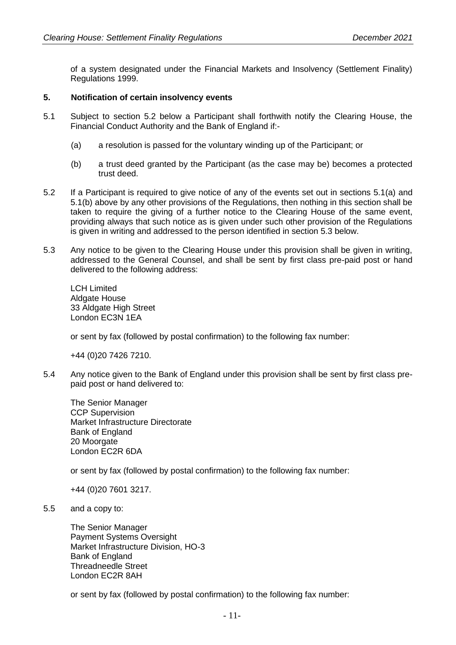of a system designated under the Financial Markets and Insolvency (Settlement Finality) Regulations 1999.

#### **5. Notification of certain insolvency events**

- 5.1 Subject to section 5.2 below a Participant shall forthwith notify the Clearing House, the Financial Conduct Authority and the Bank of England if:-
	- (a) a resolution is passed for the voluntary winding up of the Participant; or
	- (b) a trust deed granted by the Participant (as the case may be) becomes a protected trust deed.
- 5.2 If a Participant is required to give notice of any of the events set out in sections 5.1(a) and 5.1(b) above by any other provisions of the Regulations, then nothing in this section shall be taken to require the giving of a further notice to the Clearing House of the same event, providing always that such notice as is given under such other provision of the Regulations is given in writing and addressed to the person identified in section 5.3 below.
- 5.3 Any notice to be given to the Clearing House under this provision shall be given in writing, addressed to the General Counsel, and shall be sent by first class pre-paid post or hand delivered to the following address:

LCH Limited Aldgate House 33 Aldgate High Street London EC3N 1EA

or sent by fax (followed by postal confirmation) to the following fax number:

+44 (0)20 7426 7210.

5.4 Any notice given to the Bank of England under this provision shall be sent by first class prepaid post or hand delivered to:

The Senior Manager CCP Supervision Market Infrastructure Directorate Bank of England 20 Moorgate London EC2R 6DA

or sent by fax (followed by postal confirmation) to the following fax number:

+44 (0)20 7601 3217.

5.5 and a copy to:

The Senior Manager Payment Systems Oversight Market Infrastructure Division, HO-3 Bank of England Threadneedle Street London EC2R 8AH

or sent by fax (followed by postal confirmation) to the following fax number: